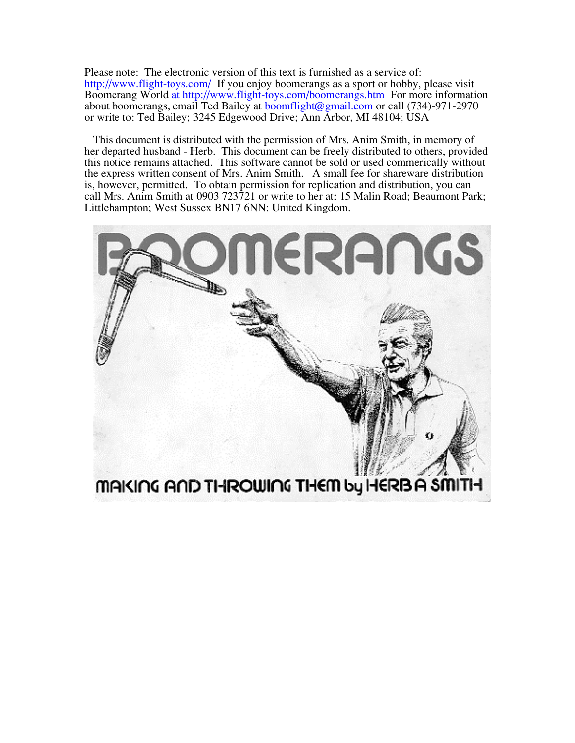Please note: The electronic version of this text is furnished as a service of: http://www.flight-toys.com/ If you enjoy boomerangs as a sport or hobby, please visit Boomerang World at http://www.flight-toys.com/boomerangs.htm For more information about boomerangs, email Ted Bailey at boomflight@gmail.com or call (734)-971-2970 or write to: Ted Bailey; 3245 Edgewood Drive; Ann Arbor, MI 48104; USA

This document is distributed with the permission of Mrs. Anim Smith, in memory of her departed husband - Herb. This document can be freely distributed to others, provided this notice remains attached. This software cannot be sold or used commerically without the express written consent of Mrs. Anim Smith. A small fee for shareware distribution is, however, permitted. To obtain permission for replication and distribution, you can call Mrs. Anim Smith at 0903 723721 or write to her at: 15 Malin Road; Beaumont Park; Littlehampton; West Sussex BN17 6NN; United Kingdom.

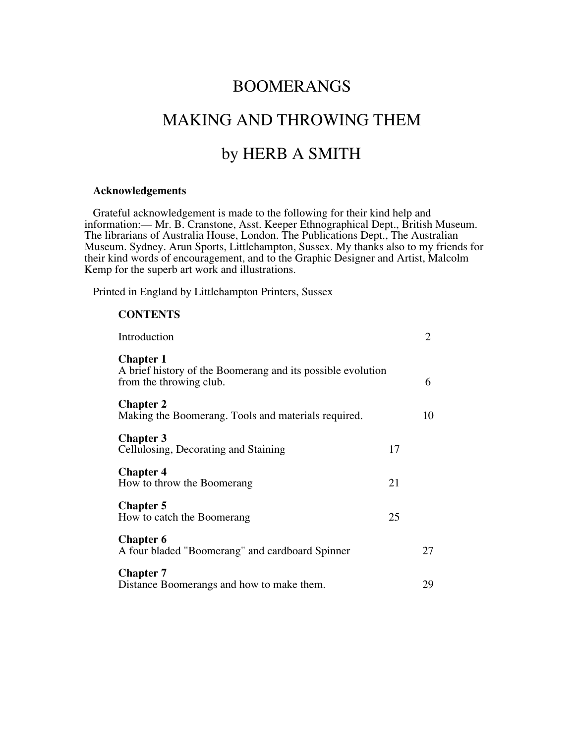## BOOMERANGS

## MAKING AND THROWING THEM

# by HERB A SMITH

#### **Acknowledgements**

Grateful acknowledgement is made to the following for their kind help and information:— Mr. B. Cranstone, Asst. Keeper Ethnographical Dept., British Museum. The librarians of Australia House, London. The Publications Dept., The Australian Museum. Sydney. Arun Sports, Littlehampton, Sussex. My thanks also to my friends for their kind words of encouragement, and to the Graphic Designer and Artist, Malcolm Kemp for the superb art work and illustrations.

Printed in England by Littlehampton Printers, Sussex

#### **CONTENTS**

| Introduction                                                                                               |    | 2  |
|------------------------------------------------------------------------------------------------------------|----|----|
| <b>Chapter 1</b><br>A brief history of the Boomerang and its possible evolution<br>from the throwing club. |    | 6  |
| <b>Chapter 2</b><br>Making the Boomerang. Tools and materials required.                                    |    | 10 |
| <b>Chapter 3</b><br>Cellulosing, Decorating and Staining                                                   | 17 |    |
| <b>Chapter 4</b><br>How to throw the Boomerang                                                             | 21 |    |
| <b>Chapter 5</b><br>How to catch the Boomerang                                                             | 25 |    |
| <b>Chapter 6</b><br>A four bladed "Boomerang" and cardboard Spinner                                        |    | 27 |
| <b>Chapter</b> 7<br>Distance Boomerangs and how to make them.                                              |    | 29 |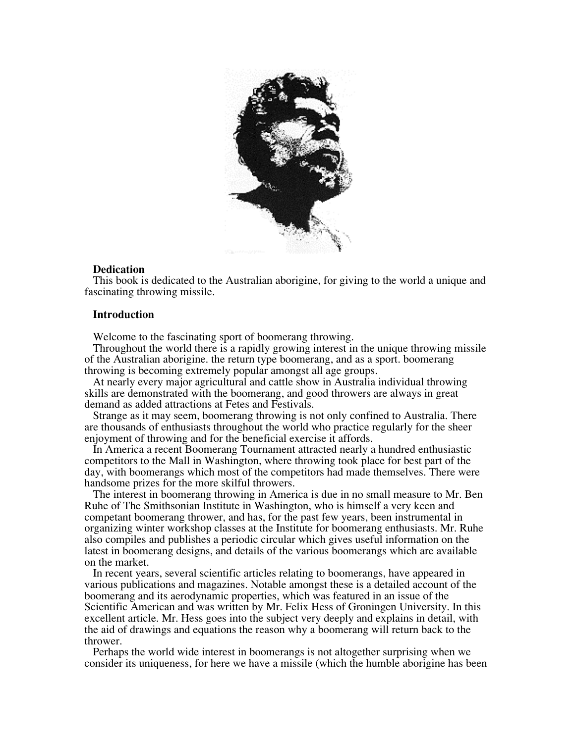

#### **Dedication**

This book is dedicated to the Australian aborigine, for giving to the world a unique and fascinating throwing missile.

#### **Introduction**

Welcome to the fascinating sport of boomerang throwing.

Throughout the world there is a rapidly growing interest in the unique throwing missile of the Australian aborigine. the return type boomerang, and as a sport. boomerang throwing is becoming extremely popular amongst all age groups.

At nearly every major agricultural and cattle show in Australia individual throwing skills are demonstrated with the boomerang, and good throwers are always in great demand as added attractions at Fetes and Festivals.

Strange as it may seem, boomerang throwing is not only confined to Australia. There are thousands of enthusiasts throughout the world who practice regularly for the sheer enjoyment of throwing and for the beneficial exercise it affords.

In America a recent Boomerang Tournament attracted nearly a hundred enthusiastic competitors to the Mall in Washington, where throwing took place for best part of the day, with boomerangs which most of the competitors had made themselves. There were handsome prizes for the more skilful throwers.

The interest in boomerang throwing in America is due in no small measure to Mr. Ben Ruhe of The Smithsonian Institute in Washington, who is himself a very keen and competant boomerang thrower, and has, for the past few years, been instrumental in organizing winter workshop classes at the Institute for boomerang enthusiasts. Mr. Ruhe also compiles and publishes a periodic circular which gives useful information on the latest in boomerang designs, and details of the various boomerangs which are available on the market.

In recent years, several scientific articles relating to boomerangs, have appeared in various publications and magazines. Notable amongst these is a detailed account of the boomerang and its aerodynamic properties, which was featured in an issue of the Scientific American and was written by Mr. Felix Hess of Groningen University. In this excellent article. Mr. Hess goes into the subject very deeply and explains in detail, with the aid of drawings and equations the reason why a boomerang will return back to the thrower.

Perhaps the world wide interest in boomerangs is not altogether surprising when we consider its uniqueness, for here we have a missile (which the humble aborigine has been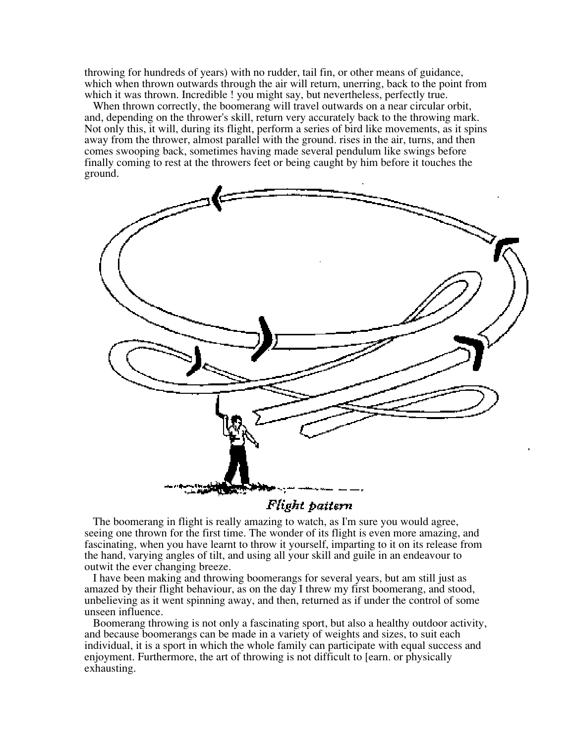throwing for hundreds of years) with no rudder, tail fin, or other means of guidance, which when thrown outwards through the air will return, unerring, back to the point from which it was thrown. Incredible ! you might say, but nevertheless, perfectly true.

When thrown correctly, the boomerang will travel outwards on a near circular orbit, and, depending on the thrower's skill, return very accurately back to the throwing mark. Not only this, it will, during its flight, perform a series of bird like movements, as it spins away from the thrower, almost parallel with the ground. rises in the air, turns, and then comes swooping back, sometimes having made several pendulum like swings before finally coming to rest at the throwers feet or being caught by him before it touches the ground.



# Flight pattern

The boomerang in flight is really amazing to watch, as I'm sure you would agree, seeing one thrown for the first time. The wonder of its flight is even more amazing, and fascinating, when you have learnt to throw it yourself, imparting to it on its release from the hand, varying angles of tilt, and using all your skill and guile in an endeavour to outwit the ever changing breeze.

I have been making and throwing boomerangs for several years, but am still just as amazed by their flight behaviour, as on the day I threw my first boomerang, and stood, unbelieving as it went spinning away, and then, returned as if under the control of some unseen influence.

Boomerang throwing is not only a fascinating sport, but also a healthy outdoor activity, and because boomerangs can be made in a variety of weights and sizes, to suit each individual, it is a sport in which the whole family can participate with equal success and enjoyment. Furthermore, the art of throwing is not difficult to [earn. or physically exhausting.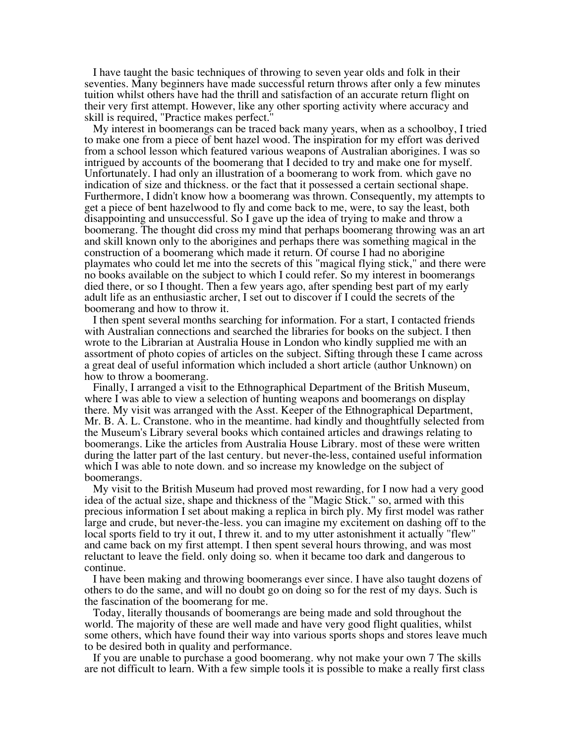I have taught the basic techniques of throwing to seven year olds and folk in their seventies. Many beginners have made successful return throws after only a few minutes tuition whilst others have had the thrill and satisfaction of an accurate return flight on their very first attempt. However, like any other sporting activity where accuracy and skill is required, "Practice makes perfect.''

My interest in boomerangs can be traced back many years, when as a schoolboy, I tried to make one from a piece of bent hazel wood. The inspiration for my effort was derived from a school lesson which featured various weapons of Australian aborigines. I was so intrigued by accounts of the boomerang that I decided to try and make one for myself. Unfortunately. I had only an illustration of a boomerang to work from. which gave no indication of size and thickness. or the fact that it possessed a certain sectional shape. Furthermore, I didn't know how a boomerang was thrown. Consequently, my attempts to get a piece of bent hazelwood to fly and come back to me, were, to say the least, both disappointing and unsuccessful. So I gave up the idea of trying to make and throw a boomerang. The thought did cross my mind that perhaps boomerang throwing was an art and skill known only to the aborigines and perhaps there was something magical in the construction of a boomerang which made it return. Of course I had no aborigine playmates who could let me into the secrets of this "magical flying stick," and there were no books available on the subject to which I could refer. So my interest in boomerangs died there, or so I thought. Then a few years ago, after spending best part of my early adult life as an enthusiastic archer, I set out to discover if I could the secrets of the boomerang and how to throw it.

I then spent several months searching for information. For a start, I contacted friends with Australian connections and searched the libraries for books on the subject. I then wrote to the Librarian at Australia House in London who kindly supplied me with an assortment of photo copies of articles on the subject. Sifting through these I came across a great deal of useful information which included a short article (author Unknown) on how to throw a boomerang.

Finally, I arranged a visit to the Ethnographical Department of the British Museum, where I was able to view a selection of hunting weapons and boomerangs on display there. My visit was arranged with the Asst. Keeper of the Ethnographical Department, Mr. B. A. L. Cranstone. who in the meantime. had kindly and thoughtfully selected from the Museum's Library several books which contained articles and drawings relating to boomerangs. Like the articles from Australia House Library. most of these were written during the latter part of the last century. but never-the-less, contained useful information which I was able to note down. and so increase my knowledge on the subject of boomerangs.

My visit to the British Museum had proved most rewarding, for I now had a very good idea of the actual size, shape and thickness of the "Magic Stick." so, armed with this precious information I set about making a replica in birch ply. My first model was rather large and crude, but never-the-less. you can imagine my excitement on dashing off to the local sports field to try it out, I threw it. and to my utter astonishment it actually "flew" and came back on my first attempt. I then spent several hours throwing, and was most reluctant to leave the field. only doing so. when it became too dark and dangerous to continue.

I have been making and throwing boomerangs ever since. I have also taught dozens of others to do the same, and will no doubt go on doing so for the rest of my days. Such is the fascination of the boomerang for me.

Today, literally thousands of boomerangs are being made and sold throughout the world. The majority of these are well made and have very good flight qualities, whilst some others, which have found their way into various sports shops and stores leave much to be desired both in quality and performance.

If you are unable to purchase a good boomerang. why not make your own 7 The skills are not difficult to learn. With a few simple tools it is possible to make a really first class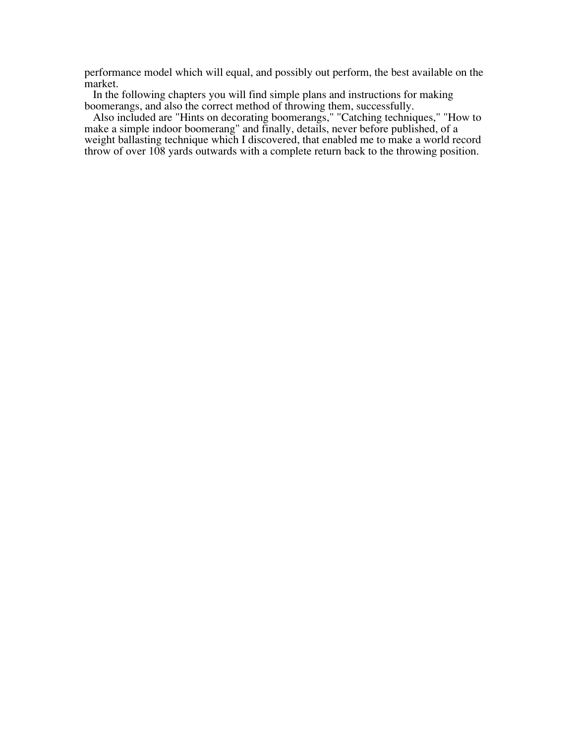performance model which will equal, and possibly out perform, the best available on the market.

In the following chapters you will find simple plans and instructions for making boomerangs, and also the correct method of throwing them, successfully.

Also included are "Hints on decorating boomerangs," "Catching techniques," "How to make a simple indoor boomerang" and finally, details, never before published, of a weight ballasting technique which I discovered, that enabled me to make a world record throw of over 108 yards outwards with a complete return back to the throwing position.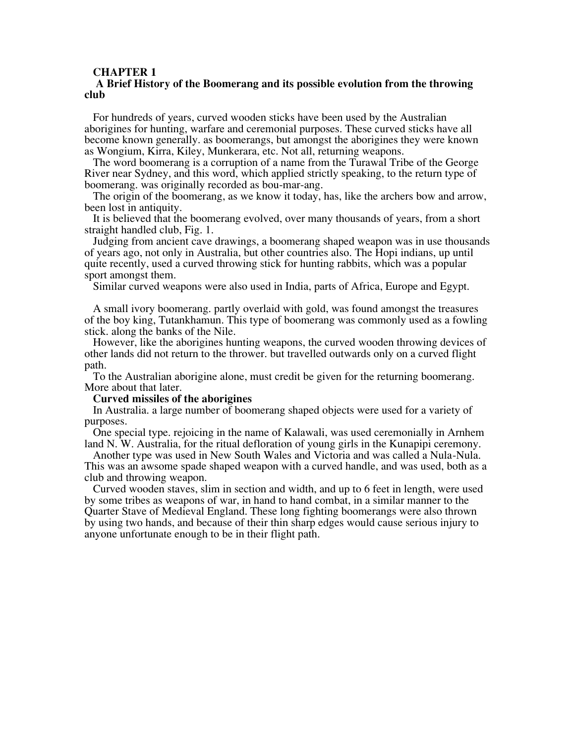#### **CHAPTER 1**

#### **A Brief History of the Boomerang and its possible evolution from the throwing club**

For hundreds of years, curved wooden sticks have been used by the Australian aborigines for hunting, warfare and ceremonial purposes. These curved sticks have all become known generally. as boomerangs, but amongst the aborigines they were known as Wongium, Kirra, Kiley, Munkerara, etc. Not all, returning weapons.

The word boomerang is a corruption of a name from the Turawal Tribe of the George River near Sydney, and this word, which applied strictly speaking, to the return type of boomerang. was originally recorded as bou-mar-ang.

The origin of the boomerang, as we know it today, has, like the archers bow and arrow, been lost in antiquity.

It is believed that the boomerang evolved, over many thousands of years, from a short straight handled club, Fig. 1.

Judging from ancient cave drawings, a boomerang shaped weapon was in use thousands of years ago, not only in Australia, but other countries also. The Hopi indians, up until quite recently, used a curved throwing stick for hunting rabbits, which was a popular sport amongst them.

Similar curved weapons were also used in India, parts of Africa, Europe and Egypt.

A small ivory boomerang. partly overlaid with gold, was found amongst the treasures of the boy king, Tutankhamun. This type of boomerang was commonly used as a fowling stick. along the banks of the Nile.

However, like the aborigines hunting weapons, the curved wooden throwing devices of other lands did not return to the thrower. but travelled outwards only on a curved flight path.

To the Australian aborigine alone, must credit be given for the returning boomerang. More about that later.

#### **Curved missiles of the aborigines**

In Australia. a large number of boomerang shaped objects were used for a variety of purposes.

One special type. rejoicing in the name of Kalawali, was used ceremonially in Arnhem land N. W. Australia, for the ritual defloration of young girls in the Kunapipi ceremony.

Another type was used in New South Wales and Victoria and was called a Nula-Nula. This was an awsome spade shaped weapon with a curved handle, and was used, both as a club and throwing weapon.

Curved wooden staves, slim in section and width, and up to 6 feet in length, were used by some tribes as weapons of war, in hand to hand combat, in a similar manner to the Quarter Stave of Medieval England. These long fighting boomerangs were also thrown by using two hands, and because of their thin sharp edges would cause serious injury to anyone unfortunate enough to be in their flight path.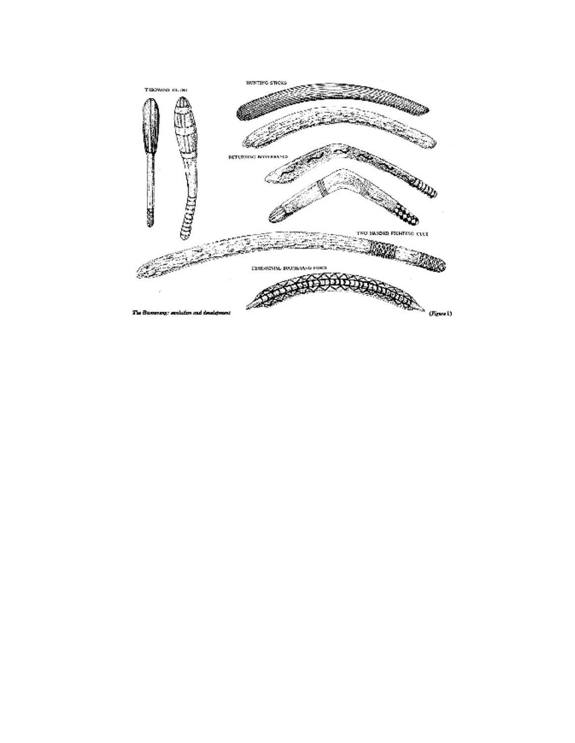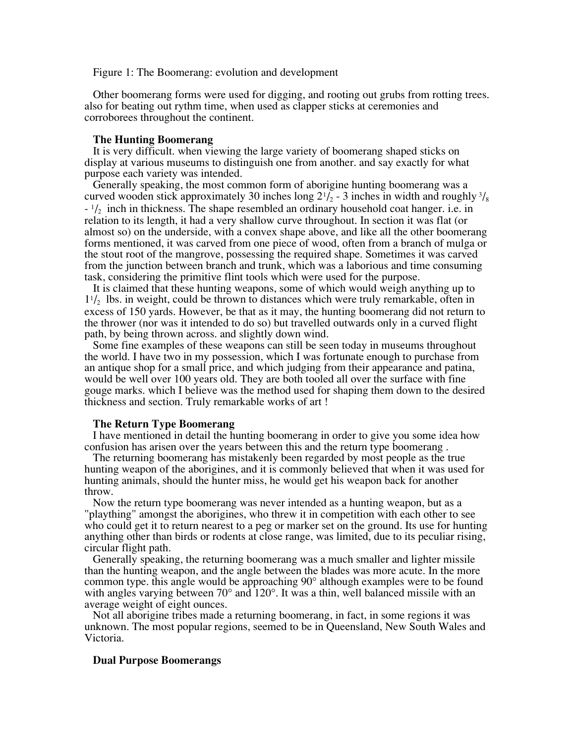Figure 1: The Boomerang: evolution and development

Other boomerang forms were used for digging, and rooting out grubs from rotting trees. also for beating out rythm time, when used as clapper sticks at ceremonies and corroborees throughout the continent.

#### **The Hunting Boomerang**

It is very difficult. when viewing the large variety of boomerang shaped sticks on display at various museums to distinguish one from another. and say exactly for what purpose each variety was intended.

Generally speaking, the most common form of aborigine hunting boomerang was a curved wooden stick approximately 30 inches long  $2^{1}/_{2}$  - 3 inches in width and roughly  $^{3}/_{8}$  $\frac{1}{2}$  inch in thickness. The shape resembled an ordinary household coat hanger. i.e. in relation to its length, it had a very shallow curve throughout. In section it was flat (or almost so) on the underside, with a convex shape above, and like all the other boomerang forms mentioned, it was carved from one piece of wood, often from a branch of mulga or the stout root of the mangrove, possessing the required shape. Sometimes it was carved from the junction between branch and trunk, which was a laborious and time consuming task, considering the primitive flint tools which were used for the purpose.

It is claimed that these hunting weapons, some of which would weigh anything up to  $1\frac{1}{2}$  lbs. in weight, could be thrown to distances which were truly remarkable, often in excess of 150 yards. However, be that as it may, the hunting boomerang did not return to the thrower (nor was it intended to do so) but travelled outwards only in a curved flight path, by being thrown across. and slightly down wind.

Some fine examples of these weapons can still be seen today in museums throughout the world. I have two in my possession, which I was fortunate enough to purchase from an antique shop for a small price, and which judging from their appearance and patina, would be well over 100 years old. They are both tooled all over the surface with fine gouge marks. which I believe was the method used for shaping them down to the desired thickness and section. Truly remarkable works of art !

#### **The Return Type Boomerang**

I have mentioned in detail the hunting boomerang in order to give you some idea how confusion has arisen over the years between this and the return type boomerang .

The returning boomerang has mistakenly been regarded by most people as the true hunting weapon of the aborigines, and it is commonly believed that when it was used for hunting animals, should the hunter miss, he would get his weapon back for another throw.

Now the return type boomerang was never intended as a hunting weapon, but as a "plaything" amongst the aborigines, who threw it in competition with each other to see who could get it to return nearest to a peg or marker set on the ground. Its use for hunting anything other than birds or rodents at close range, was limited, due to its peculiar rising, circular flight path.

Generally speaking, the returning boomerang was a much smaller and lighter missile than the hunting weapon, and the angle between the blades was more acute. In the more common type. this angle would be approaching 90° although examples were to be found with angles varying between 70° and 120°. It was a thin, well balanced missile with an average weight of eight ounces.

Not all aborigine tribes made a returning boomerang, in fact, in some regions it was unknown. The most popular regions, seemed to be in Queensland, New South Wales and Victoria.

#### **Dual Purpose Boomerangs**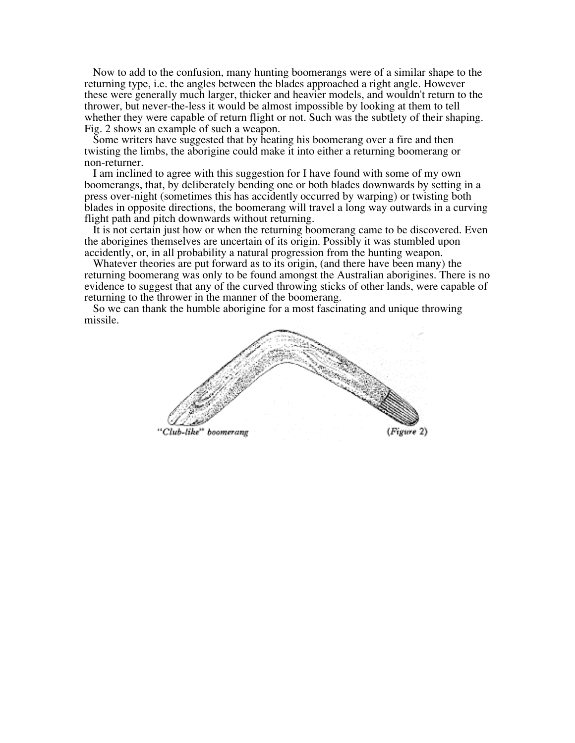Now to add to the confusion, many hunting boomerangs were of a similar shape to the returning type, i.e. the angles between the blades approached a right angle. However these were generally much larger, thicker and heavier models, and wouldn't return to the thrower, but never-the-less it would be almost impossible by looking at them to tell whether they were capable of return flight or not. Such was the subtlety of their shaping. Fig. 2 shows an example of such a weapon.

Some writers have suggested that by heating his boomerang over a fire and then twisting the limbs, the aborigine could make it into either a returning boomerang or non-returner.

I am inclined to agree with this suggestion for I have found with some of my own boomerangs, that, by deliberately bending one or both blades downwards by setting in a press over-night (sometimes this has accidently occurred by warping) or twisting both blades in opposite directions, the boomerang will travel a long way outwards in a curving flight path and pitch downwards without returning.

It is not certain just how or when the returning boomerang came to be discovered. Even the aborigines themselves are uncertain of its origin. Possibly it was stumbled upon accidently, or, in all probability a natural progression from the hunting weapon.

Whatever theories are put forward as to its origin, (and there have been many) the returning boomerang was only to be found amongst the Australian aborigines. There is no evidence to suggest that any of the curved throwing sticks of other lands, were capable of returning to the thrower in the manner of the boomerang.

So we can thank the humble aborigine for a most fascinating and unique throwing missile.

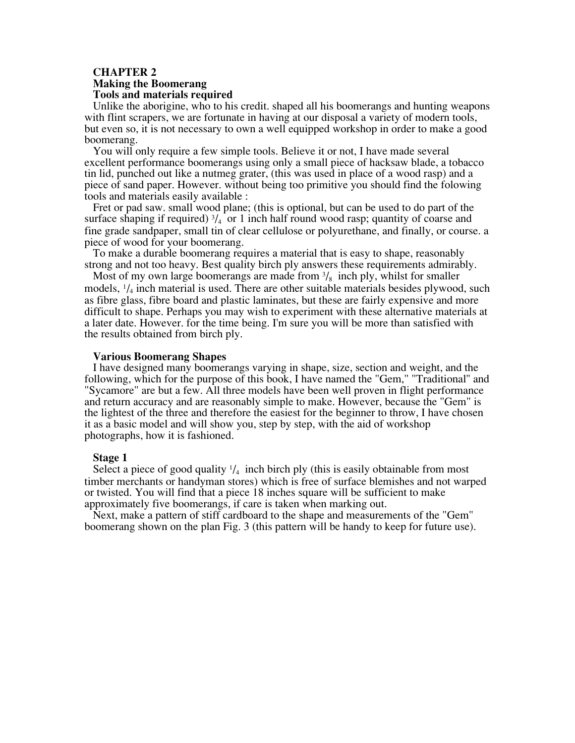#### **CHAPTER 2 Making the Boomerang Tools and materials required**

Unlike the aborigine, who to his credit. shaped all his boomerangs and hunting weapons with flint scrapers, we are fortunate in having at our disposal a variety of modern tools, but even so, it is not necessary to own a well equipped workshop in order to make a good boomerang.

You will only require a few simple tools. Believe it or not, I have made several excellent performance boomerangs using only a small piece of hacksaw blade, a tobacco tin lid, punched out like a nutmeg grater, (this was used in place of a wood rasp) and a piece of sand paper. However. without being too primitive you should find the folowing tools and materials easily available :

Fret or pad saw. small wood plane; (this is optional, but can be used to do part of the surface shaping if required)  $\frac{3}{4}$  or 1 inch half round wood rasp; quantity of coarse and fine grade sandpaper, small tin of clear cellulose or polyurethane, and finally, or course. a piece of wood for your boomerang.

To make a durable boomerang requires a material that is easy to shape, reasonably strong and not too heavy. Best quality birch ply answers these requirements admirably.

Most of my own large boomerangs are made from  $\frac{3}{8}$  inch ply, whilst for smaller models,  $1/4$  inch material is used. There are other suitable materials besides plywood, such as fibre glass, fibre board and plastic laminates, but these are fairly expensive and more difficult to shape. Perhaps you may wish to experiment with these alternative materials at a later date. However. for the time being. I'm sure you will be more than satisfied with the results obtained from birch ply.

#### **Various Boomerang Shapes**

I have designed many boomerangs varying in shape, size, section and weight, and the following, which for the purpose of this book, I have named the "Gem," "Traditional'' and "Sycamore" are but a few. All three models have been well proven in flight performance and return accuracy and are reasonably simple to make. However, because the "Gem" is the lightest of the three and therefore the easiest for the beginner to throw, I have chosen it as a basic model and will show you, step by step, with the aid of workshop photographs, how it is fashioned.

#### **Stage 1**

Select a piece of good quality  $\frac{1}{4}$  inch birch ply (this is easily obtainable from most timber merchants or handyman stores) which is free of surface blemishes and not warped or twisted. You will find that a piece 18 inches square will be sufficient to make approximately five boomerangs, if care is taken when marking out.

Next, make a pattern of stiff cardboard to the shape and measurements of the "Gem" boomerang shown on the plan Fig. 3 (this pattern will be handy to keep for future use).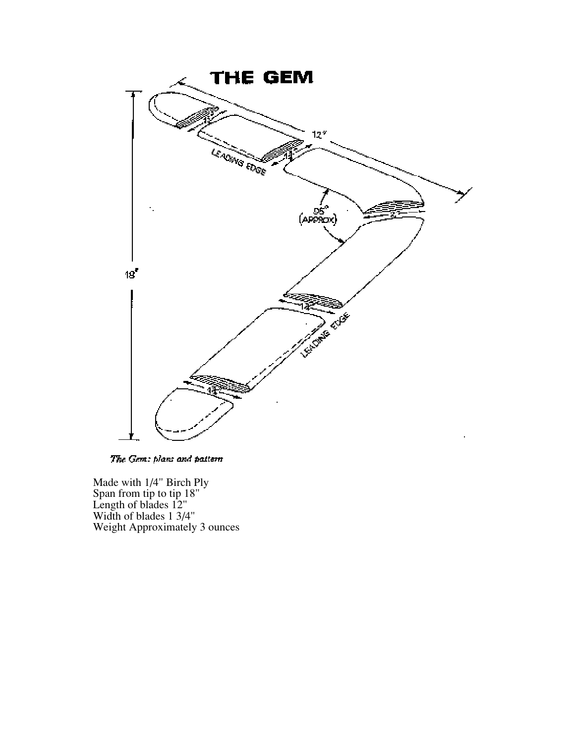

The Gent: plans and pattern

Made with 1/4" Birch Ply Span from tip to tip 18" Length of blades 12" Width of blades 1 3/4" Weight Approximately 3 ounces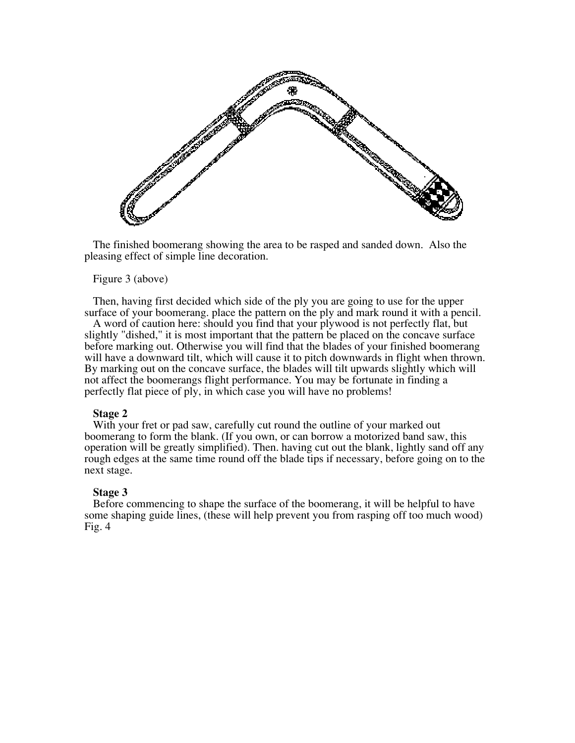

The finished boomerang showing the area to be rasped and sanded down. Also the pleasing effect of simple line decoration.

#### Figure 3 (above)

Then, having first decided which side of the ply you are going to use for the upper surface of your boomerang. place the pattern on the ply and mark round it with a pencil.

A word of caution here: should you find that your plywood is not perfectly flat, but slightly "dished," it is most important that the pattern be placed on the concave surface before marking out. Otherwise you will find that the blades of your finished boomerang will have a downward tilt, which will cause it to pitch downwards in flight when thrown. By marking out on the concave surface, the blades will tilt upwards slightly which will not affect the boomerangs flight performance. You may be fortunate in finding a perfectly flat piece of ply, in which case you will have no problems!

#### **Stage 2**

With your fret or pad saw, carefully cut round the outline of your marked out boomerang to form the blank. (If you own, or can borrow a motorized band saw, this operation will be greatly simplified). Then. having cut out the blank, lightly sand off any rough edges at the same time round off the blade tips if necessary, before going on to the next stage.

#### **Stage 3**

Before commencing to shape the surface of the boomerang, it will be helpful to have some shaping guide lines, (these will help prevent you from rasping off too much wood) Fig.  $4$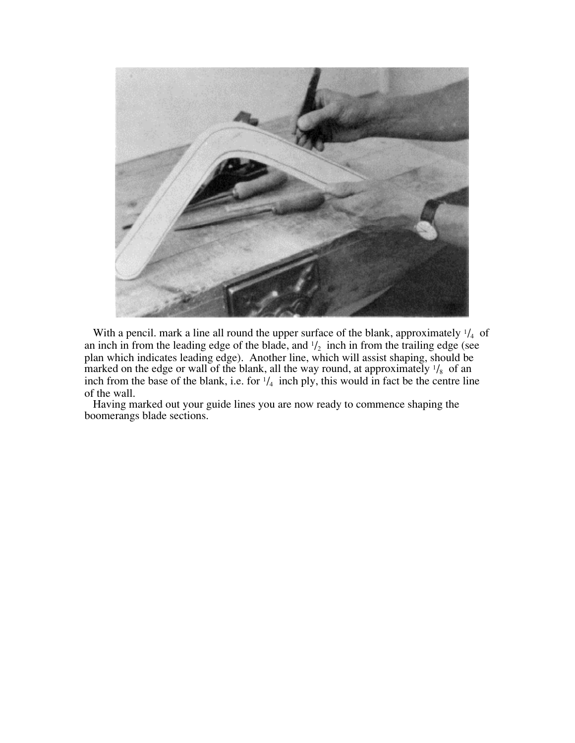

With a pencil. mark a line all round the upper surface of the blank, approximately  $\frac{1}{4}$  of an inch in from the leading edge of the blade, and  $\frac{1}{2}$  inch in from the trailing edge (see plan which indicates leading edge). Another line, which will assist shaping, should be marked on the edge or wall of the blank, all the way round, at approximately  $\frac{1}{8}$  of an inch from the base of the blank, i.e. for  $\frac{1}{4}$  inch ply, this would in fact be the centre line of the wall.

Having marked out your guide lines you are now ready to commence shaping the boomerangs blade sections.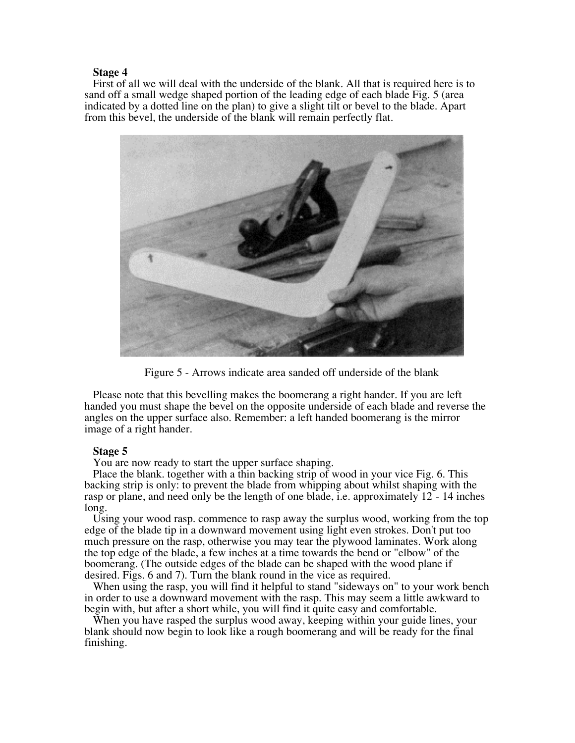#### **Stage 4**

First of all we will deal with the underside of the blank. All that is required here is to sand off a small wedge shaped portion of the leading edge of each blade Fig. 5 (area indicated by a dotted line on the plan) to give a slight tilt or bevel to the blade. Apart from this bevel, the underside of the blank will remain perfectly flat.



Figure 5 - Arrows indicate area sanded off underside of the blank

Please note that this bevelling makes the boomerang a right hander. If you are left handed you must shape the bevel on the opposite underside of each blade and reverse the angles on the upper surface also. Remember: a left handed boomerang is the mirror image of a right hander.

#### **Stage 5**

You are now ready to start the upper surface shaping.

Place the blank. together with a thin backing strip of wood in your vice Fig. 6. This backing strip is only: to prevent the blade from whipping about whilst shaping with the rasp or plane, and need only be the length of one blade, i.e. approximately 12 - 14 inches long.

Using your wood rasp. commence to rasp away the surplus wood, working from the top edge of the blade tip in a downward movement using light even strokes. Don't put too much pressure on the rasp, otherwise you may tear the plywood laminates. Work along the top edge of the blade, a few inches at a time towards the bend or "elbow" of the boomerang. (The outside edges of the blade can be shaped with the wood plane if desired. Figs. 6 and 7). Turn the blank round in the vice as required.

When using the rasp, you will find it helpful to stand "sideways on" to your work bench in order to use a downward movement with the rasp. This may seem a little awkward to begin with, but after a short while, you will find it quite easy and comfortable.

When you have rasped the surplus wood away, keeping within your guide lines, your blank should now begin to look like a rough boomerang and will be ready for the final finishing.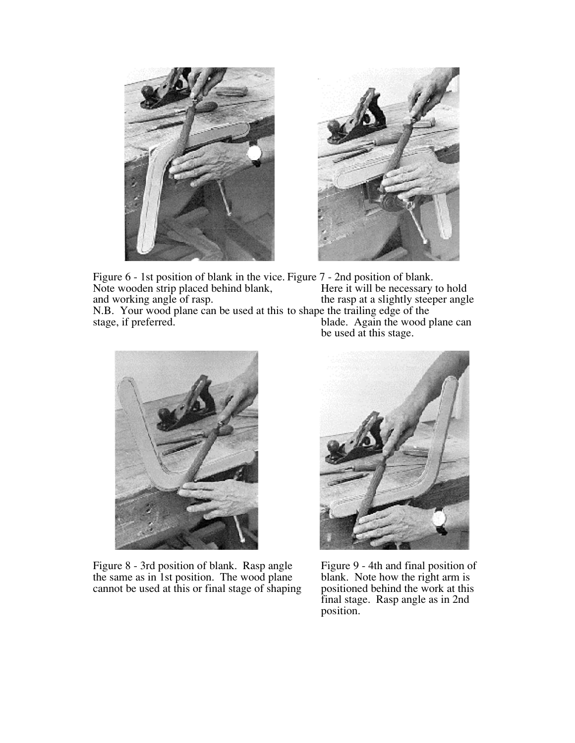



Figure 6 - 1st position of blank in the vice. Figure 7 - 2nd position of blank.<br>Note wooden strip placed behind blank, Here it will be necessary to hold Note wooden strip placed behind blank, and working angle of rasp. the rasp at a slightly steeper angle N.B. Your wood plane can be used at this to shape the trailing edge of the stage, if preferred. blade. Again the wood p blade. Again the wood plane can be used at this stage.



Figure 8 - 3rd position of blank. Rasp angle Figure 9 - 4th and final position of the same as in 1st position. The wood plane blank. Note how the right arm is the same as in 1st position. The wood plane blank. Note how the right arm is cannot be used at this or final stage of shaping positioned behind the work at this cannot be used at this or final stage of shaping



final stage. Rasp angle as in 2nd position.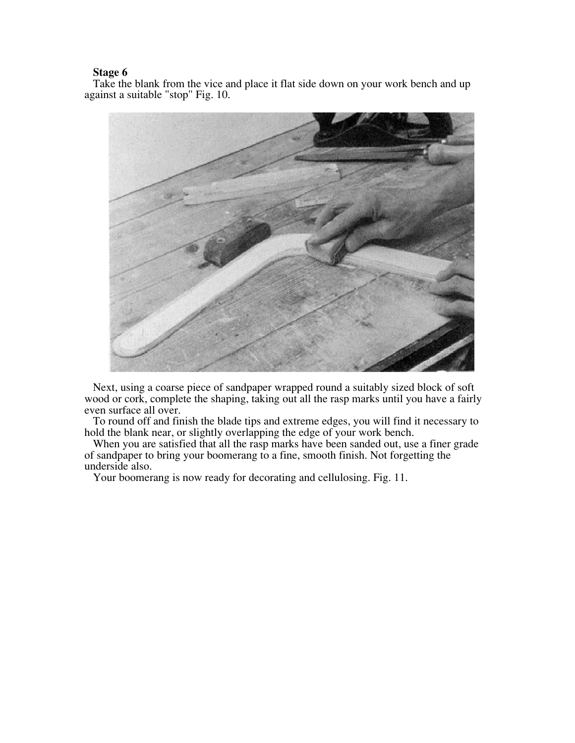#### **Stage 6**

Take the blank from the vice and place it flat side down on your work bench and up against a suitable "stop" Fig. 10.



Next, using a coarse piece of sandpaper wrapped round a suitably sized block of soft wood or cork, complete the shaping, taking out all the rasp marks until you have a fairly even surface all over.

To round off and finish the blade tips and extreme edges, you will find it necessary to hold the blank near, or slightly overlapping the edge of your work bench.

When you are satisfied that all the rasp marks have been sanded out, use a finer grade of sandpaper to bring your boomerang to a fine, smooth finish. Not forgetting the underside also.

Your boomerang is now ready for decorating and cellulosing. Fig. 11.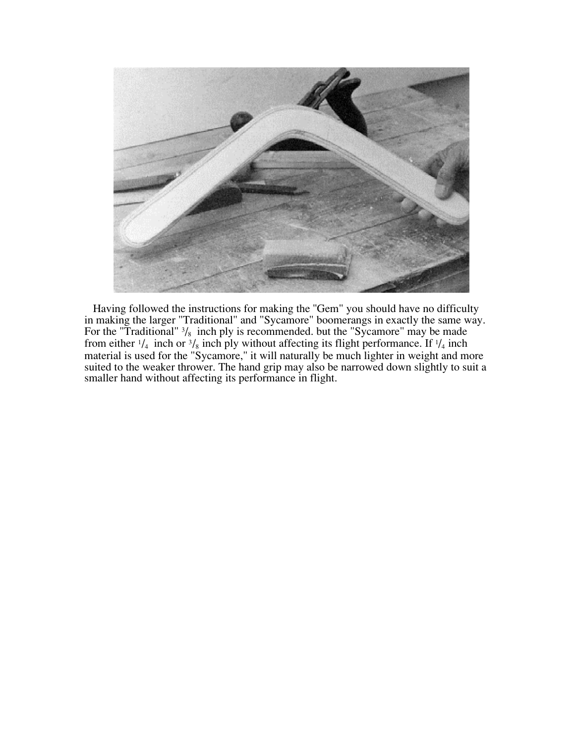

Having followed the instructions for making the ''Gem" you should have no difficulty in making the larger "Traditional" and "Sycamore" boomerangs in exactly the same way. For the "Traditional"  $\frac{3}{8}$  inch ply is recommended. but the "Sycamore" may be made from either  $\frac{1}{4}$  inch or  $\frac{3}{8}$  inch ply without affecting its flight performance. If  $\frac{1}{4}$  inch material is used for the "Sycamore," it will naturally be much lighter in weight and more suited to the weaker thrower. The hand grip may also be narrowed down slightly to suit a smaller hand without affecting its performance in flight.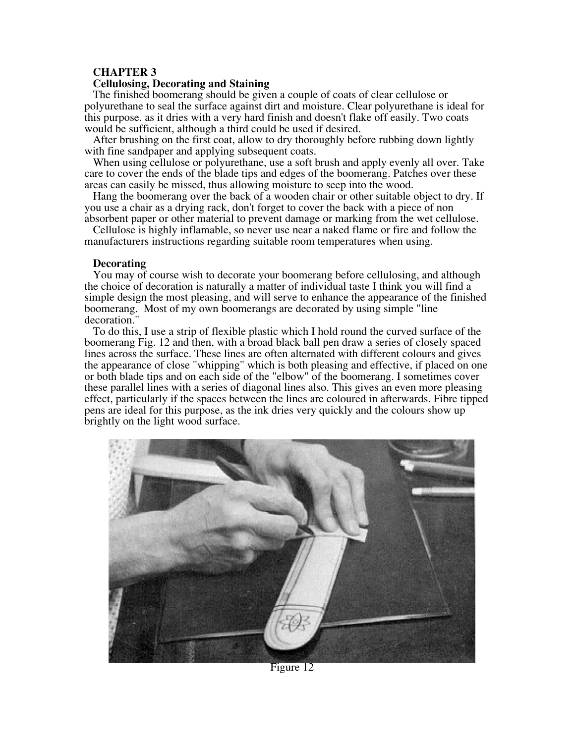#### **CHAPTER 3**

#### **Cellulosing, Decorating and Staining**

The finished boomerang should be given a couple of coats of clear cellulose or polyurethane to seal the surface against dirt and moisture. Clear polyurethane is ideal for this purpose. as it dries with a very hard finish and doesn't flake off easily. Two coats would be sufficient, although a third could be used if desired.

After brushing on the first coat, allow to dry thoroughly before rubbing down lightly with fine sandpaper and applying subsequent coats.

When using cellulose or polyurethane, use a soft brush and apply evenly all over. Take care to cover the ends of the blade tips and edges of the boomerang. Patches over these areas can easily be missed, thus allowing moisture to seep into the wood.

Hang the boomerang over the back of a wooden chair or other suitable object to dry. If you use a chair as a drying rack, don't forget to cover the back with a piece of non absorbent paper or other material to prevent damage or marking from the wet cellulose.

Cellulose is highly inflamable, so never use near a naked flame or fire and follow the manufacturers instructions regarding suitable room temperatures when using.

#### **Decorating**

You may of course wish to decorate your boomerang before cellulosing, and although the choice of decoration is naturally a matter of individual taste I think you will find a simple design the most pleasing, and will serve to enhance the appearance of the finished boomerang. Most of my own boomerangs are decorated by using simple "line decoration."

To do this, I use a strip of flexible plastic which I hold round the curved surface of the boomerang Fig. 12 and then, with a broad black ball pen draw a series of closely spaced lines across the surface. These lines are often alternated with different colours and gives the appearance of close "whipping" which is both pleasing and effective, if placed on one or both blade tips and on each side of the "elbow" of the boomerang. I sometimes cover these parallel lines with a series of diagonal lines also. This gives an even more pleasing effect, particularly if the spaces between the lines are coloured in afterwards. Fibre tipped pens are ideal for this purpose, as the ink dries very quickly and the colours show up brightly on the light wood surface.



Figure 12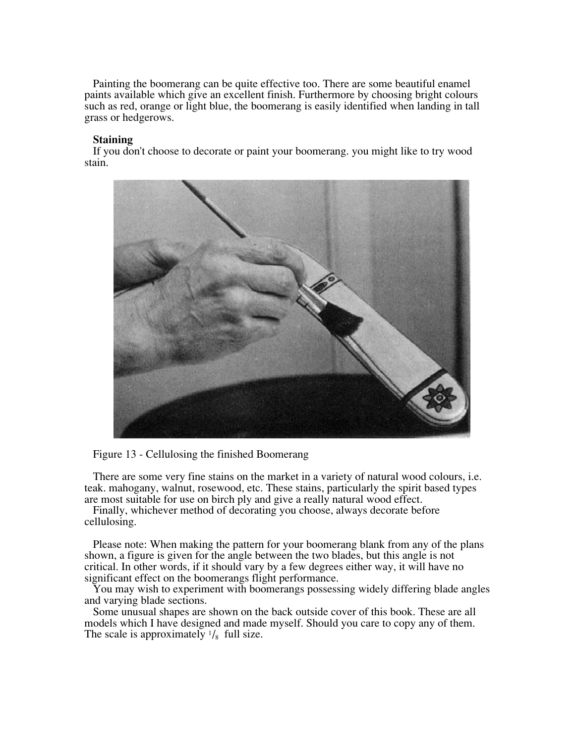Painting the boomerang can be quite effective too. There are some beautiful enamel paints available which give an excellent finish. Furthermore by choosing bright colours such as red, orange or light blue, the boomerang is easily identified when landing in tall grass or hedgerows.

#### **Staining**

If you don't choose to decorate or paint your boomerang. you might like to try wood stain.



Figure 13 - Cellulosing the finished Boomerang

There are some very fine stains on the market in a variety of natural wood colours, i.e. teak. mahogany, walnut, rosewood, etc. These stains, particularly the spirit based types are most suitable for use on birch ply and give a really natural wood effect.

Finally, whichever method of decorating you choose, always decorate before cellulosing.

Please note: When making the pattern for your boomerang blank from any of the plans shown, a figure is given for the angle between the two blades, but this angle is not critical. In other words, if it should vary by a few degrees either way, it will have no significant effect on the boomerangs flight performance.

You may wish to experiment with boomerangs possessing widely differing blade angles and varying blade sections.

Some unusual shapes are shown on the back outside cover of this book. These are all models which I have designed and made myself. Should you care to copy any of them. The scale is approximately  $\frac{1}{8}$  full size.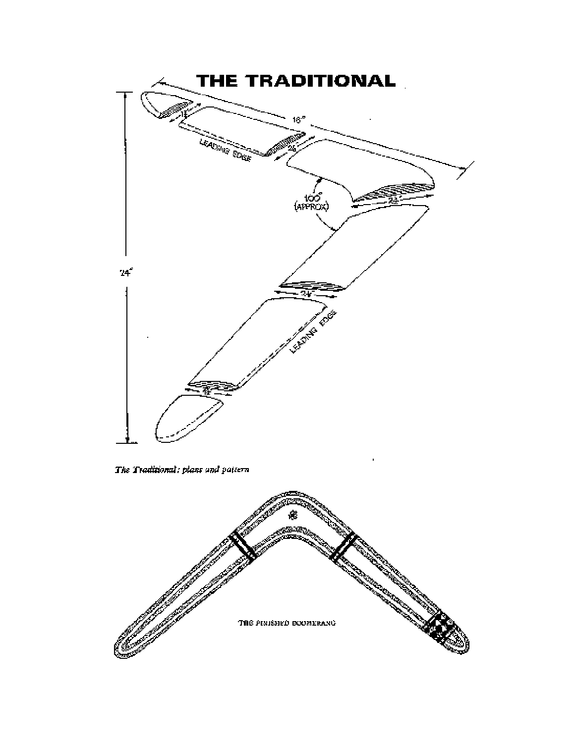

The Traditional: plans and pattern

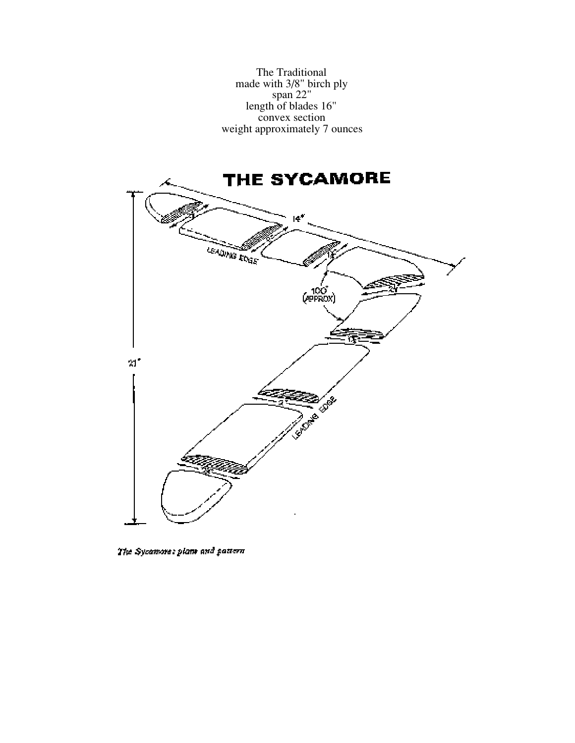The Traditional made with 3/8" birch ply span 22" length of blades 16" convex section weight approximately 7 ounces



The Sycamore: plans and pattern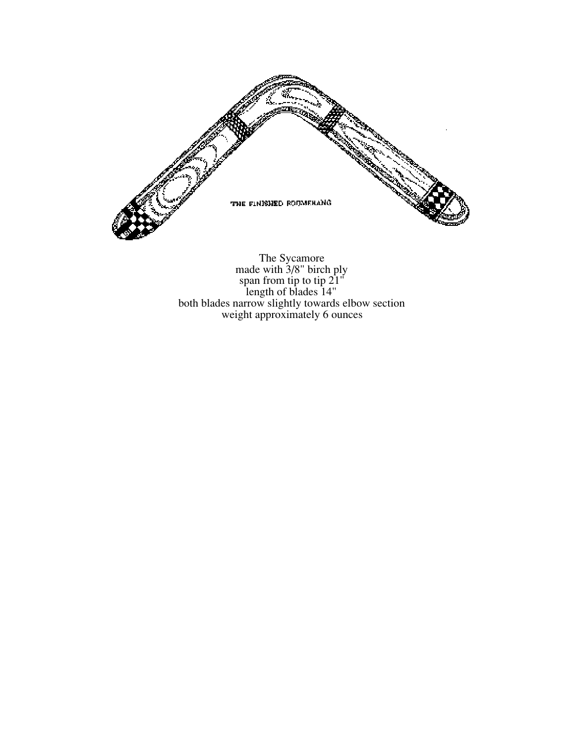

The Sycamore made with 3/8" birch ply span from tip to tip 21" length of blades 14" both blades narrow slightly towards elbow section weight approximately 6 ounces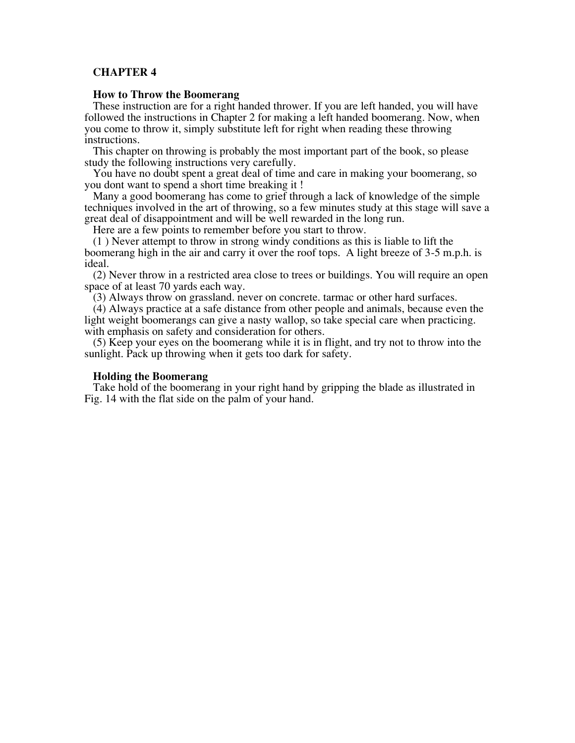#### **CHAPTER 4**

#### **How to Throw the Boomerang**

These instruction are for a right handed thrower. If you are left handed, you will have followed the instructions in Chapter 2 for making a left handed boomerang. Now, when you come to throw it, simply substitute left for right when reading these throwing instructions.

This chapter on throwing is probably the most important part of the book, so please study the following instructions very carefully.

You have no doubt spent a great deal of time and care in making your boomerang, so you dont want to spend a short time breaking it !

Many a good boomerang has come to grief through a lack of knowledge of the simple techniques involved in the art of throwing, so a few minutes study at this stage will save a great deal of disappointment and will be well rewarded in the long run.

Here are a few points to remember before you start to throw.

(1 ) Never attempt to throw in strong windy conditions as this is liable to lift the boomerang high in the air and carry it over the roof tops. A light breeze of 3-5 m.p.h. is ideal.

(2) Never throw in a restricted area close to trees or buildings. You will require an open space of at least 70 yards each way.

(3) Always throw on grassland. never on concrete. tarmac or other hard surfaces.

(4) Always practice at a safe distance from other people and animals, because even the light weight boomerangs can give a nasty wallop, so take special care when practicing. with emphasis on safety and consideration for others.

(5) Keep your eyes on the boomerang while it is in flight, and try not to throw into the sunlight. Pack up throwing when it gets too dark for safety.

#### **Holding the Boomerang**

Take hold of the boomerang in your right hand by gripping the blade as illustrated in Fig. 14 with the flat side on the palm of your hand.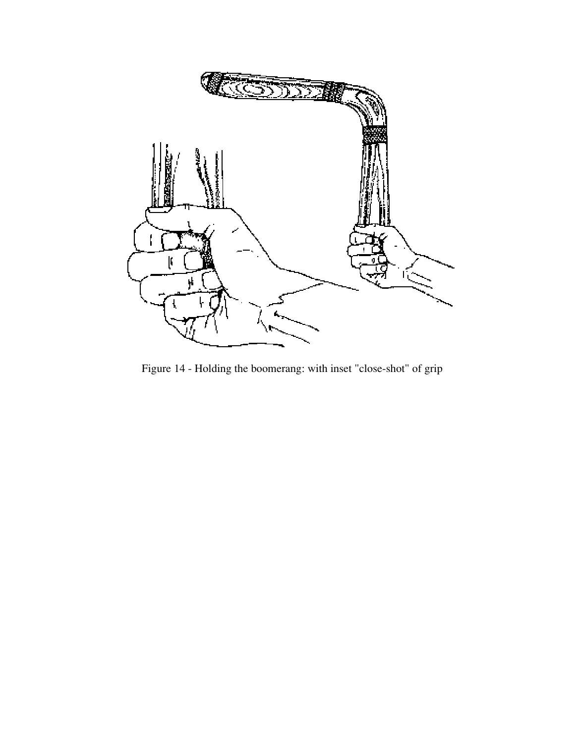

Figure 14 - Holding the boomerang: with inset "close-shot" of grip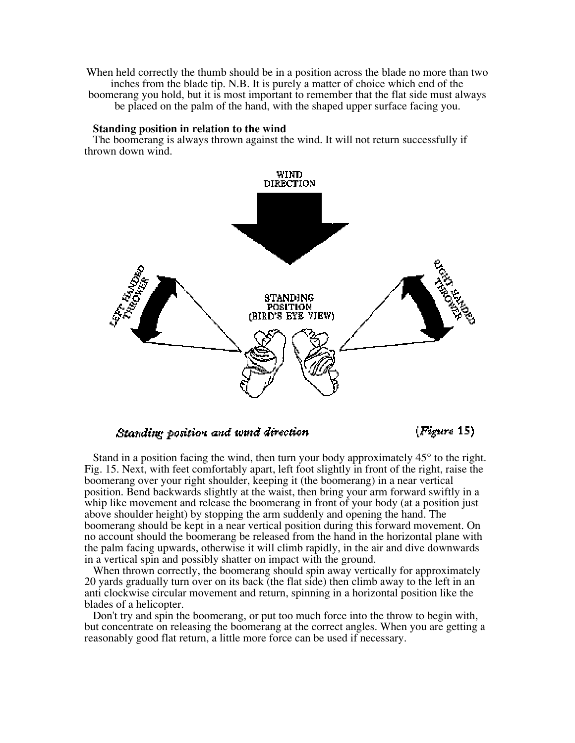When held correctly the thumb should be in a position across the blade no more than two inches from the blade tip. N.B. It is purely a matter of choice which end of the boomerang you hold, but it is most important to remember that the flat side must always be placed on the palm of the hand, with the shaped upper surface facing you.

#### **Standing position in relation to the wind**

The boomerang is always thrown against the wind. It will not return successfully if thrown down wind.



Standing position and wind direction

 $(Figner 15)$ 

Stand in a position facing the wind, then turn your body approximately 45° to the right. Fig. 15. Next, with feet comfortably apart, left foot slightly in front of the right, raise the boomerang over your right shoulder, keeping it (the boomerang) in a near vertical position. Bend backwards slightly at the waist, then bring your arm forward swiftly in a whip like movement and release the boomerang in front of your body (at a position just above shoulder height) by stopping the arm suddenly and opening the hand. The boomerang should be kept in a near vertical position during this forward movement. On no account should the boomerang be released from the hand in the horizontal plane with the palm facing upwards, otherwise it will climb rapidly, in the air and dive downwards in a vertical spin and possibly shatter on impact with the ground.

When thrown correctly, the boomerang should spin away vertically for approximately 20 yards gradually turn over on its back (the flat side) then climb away to the left in an anti clockwise circular movement and return, spinning in a horizontal position like the blades of a helicopter.

Don't try and spin the boomerang, or put too much force into the throw to begin with, but concentrate on releasing the boomerang at the correct angles. When you are getting a reasonably good flat return, a little more force can be used if necessary.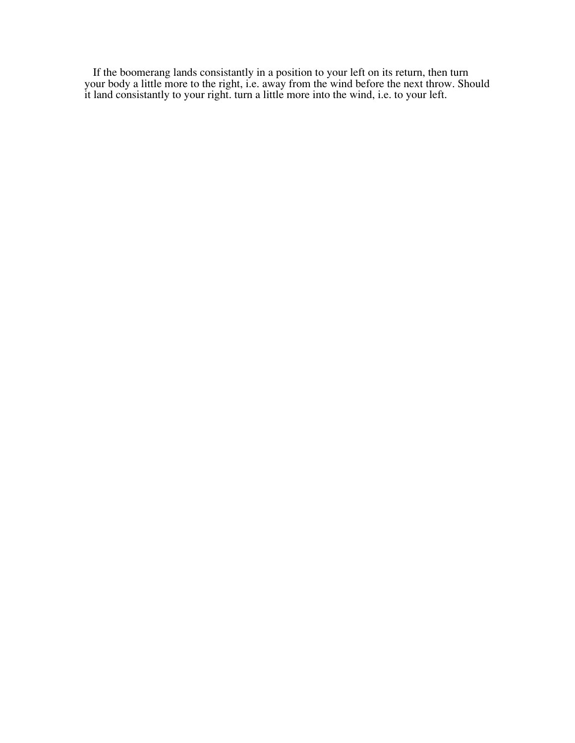If the boomerang lands consistantly in a position to your left on its return, then turn your body a little more to the right, i.e. away from the wind before the next throw. Should it land consistantly to your right. turn a little more into the wind, i.e. to your left.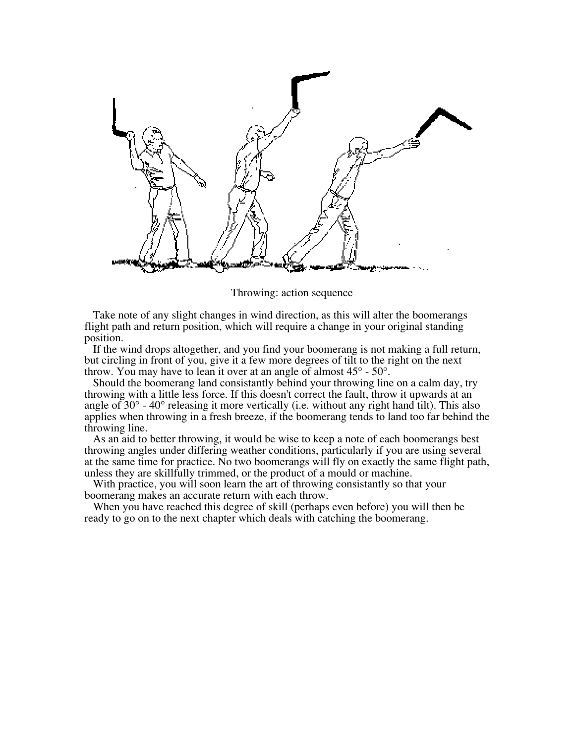

Throwing: action sequence

Take note of any slight changes in wind direction, as this will alter the boomerangs flight path and return position, which will require a change in your original standing position.

If the wind drops altogether, and you find your boomerang is not making a full return, but circling in front of you, give it a few more degrees of tilt to the right on the next throw. You may have to lean it over at an angle of almost  $45^{\circ}$  -  $50^{\circ}$ .

Should the boomerang land consistantly behind your throwing line on a calm day, try throwing with a little less force. If this doesn't correct the fault, throw it upwards at an angle of  $30^{\circ}$  -  $40^{\circ}$  releasing it more vertically (i.e. without any right hand tilt). This also applies when throwing in a fresh breeze, if the boomerang tends to land too far behind the throwing line.

As an aid to better throwing, it would be wise to keep a note of each boomerangs best throwing angles under differing weather conditions, particularly if you are using several at the same time for practice. No two boomerangs will fly on exactly the same flight path, unless they are skillfully trimmed, or the product of a mould or machine.

With practice, you will soon learn the art of throwing consistantly so that your boomerang makes an accurate return with each throw.

When you have reached this degree of skill (perhaps even before) you will then be ready to go on to the next chapter which deals with catching the boomerang.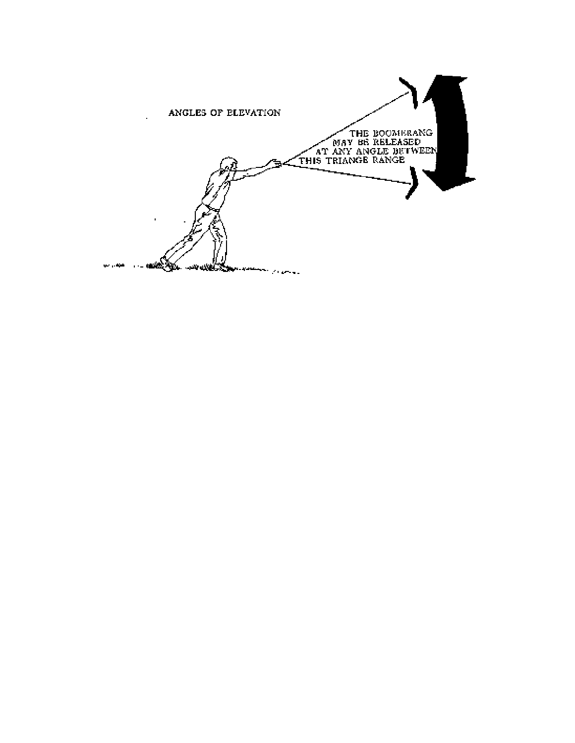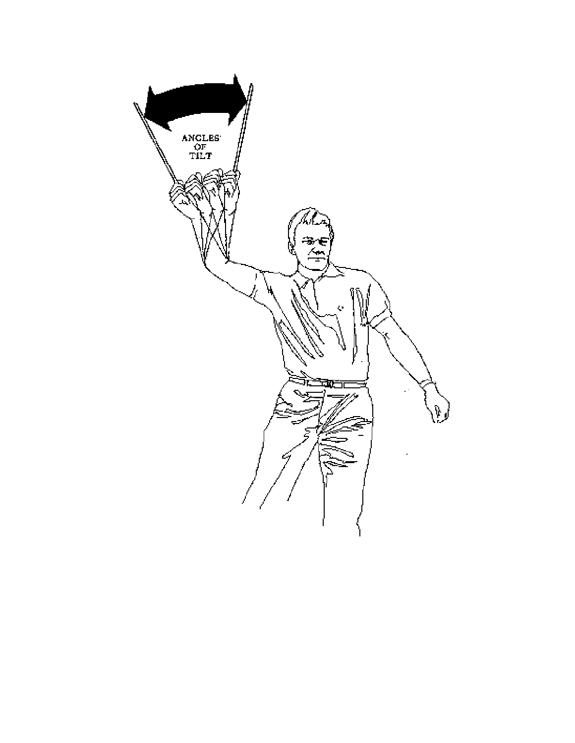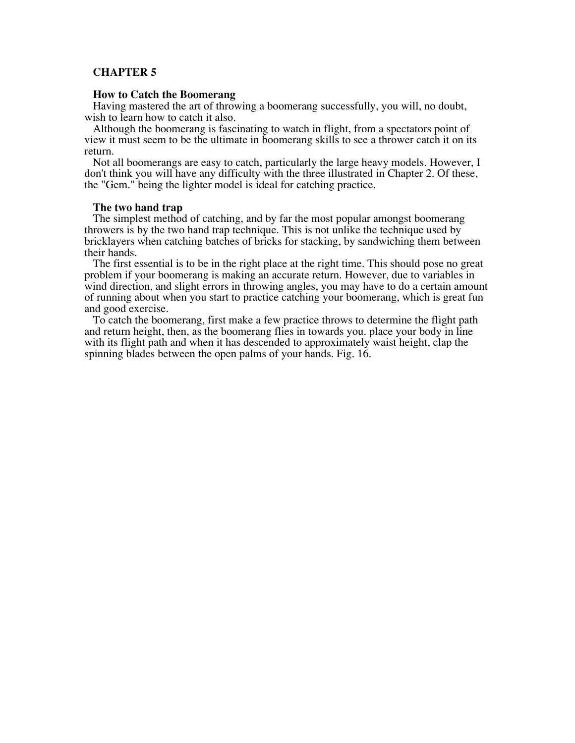#### **CHAPTER 5**

#### **How to Catch the Boomerang**

Having mastered the art of throwing a boomerang successfully, you will, no doubt, wish to learn how to catch it also.

Although the boomerang is fascinating to watch in flight, from a spectators point of view it must seem to be the ultimate in boomerang skills to see a thrower catch it on its return.

Not all boomerangs are easy to catch, particularly the large heavy models. However, I don't think you will have any difficulty with the three illustrated in Chapter 2. Of these, the "Gem." being the lighter model is ideal for catching practice.

#### **The two hand trap**

The simplest method of catching, and by far the most popular amongst boomerang throwers is by the two hand trap technique. This is not unlike the technique used by bricklayers when catching batches of bricks for stacking, by sandwiching them between their hands.

The first essential is to be in the right place at the right time. This should pose no great problem if your boomerang is making an accurate return. However, due to variables in wind direction, and slight errors in throwing angles, you may have to do a certain amount of running about when you start to practice catching your boomerang, which is great fun and good exercise.

To catch the boomerang, first make a few practice throws to determine the flight path and return height, then, as the boomerang flies in towards you. place your body in line with its flight path and when it has descended to approximately waist height, clap the spinning blades between the open palms of your hands. Fig. 16.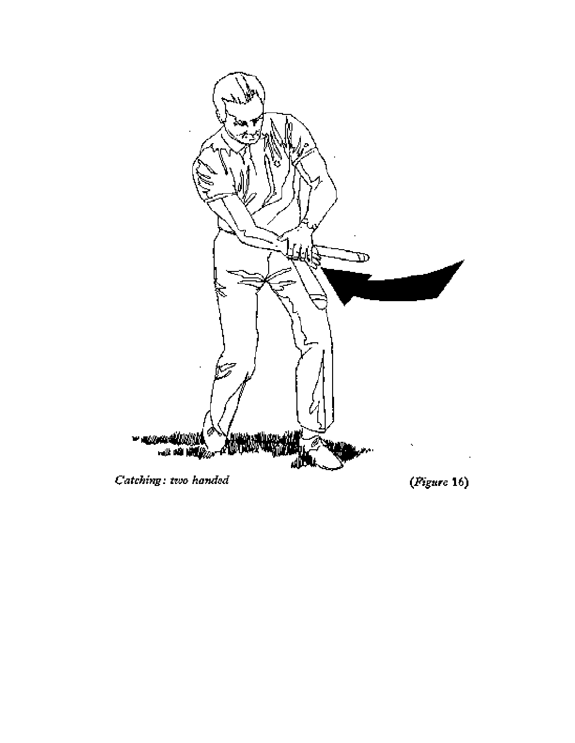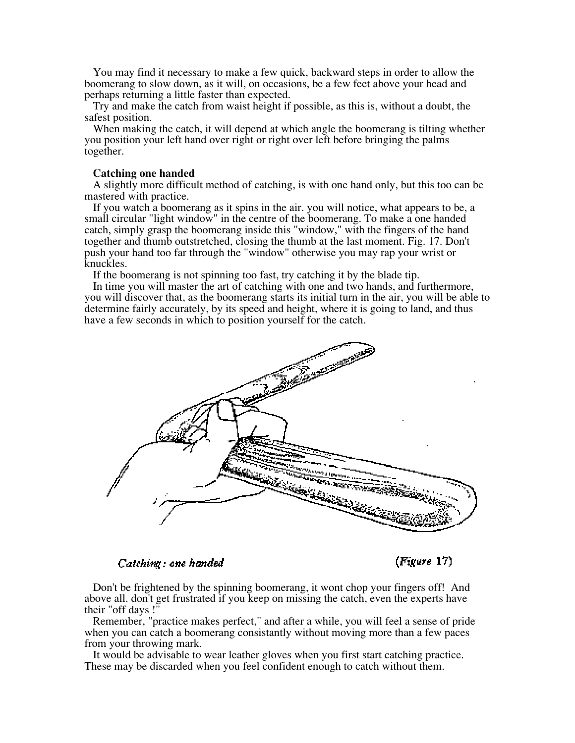You may find it necessary to make a few quick, backward steps in order to allow the boomerang to slow down, as it will, on occasions, be a few feet above your head and perhaps returning a little faster than expected.

Try and make the catch from waist height if possible, as this is, without a doubt, the safest position.

When making the catch, it will depend at which angle the boomerang is tilting whether you position your left hand over right or right over left before bringing the palms together.

#### **Catching one handed**

A slightly more difficult method of catching, is with one hand only, but this too can be mastered with practice.

If you watch a boomerang as it spins in the air. you will notice, what appears to be, a small circular "light window" in the centre of the boomerang. To make a one handed catch, simply grasp the boomerang inside this "window," with the fingers of the hand together and thumb outstretched, closing the thumb at the last moment. Fig. 17. Don't push your hand too far through the "window" otherwise you may rap your wrist or knuckles.

If the boomerang is not spinning too fast, try catching it by the blade tip.

In time you will master the art of catching with one and two hands, and furthermore, you will discover that, as the boomerang starts its initial turn in the air, you will be able to determine fairly accurately, by its speed and height, where it is going to land, and thus have a few seconds in which to position yourself for the catch.



#### Catching: one handed

(Figure 17)

Don't be frightened by the spinning boomerang, it wont chop your fingers off! And above all. don't get frustrated if you keep on missing the catch, even the experts have their "off days !"

Remember, "practice makes perfect," and after a while, you will feel a sense of pride when you can catch a boomerang consistantly without moving more than a few paces from your throwing mark.

It would be advisable to wear leather gloves when you first start catching practice. These may be discarded when you feel confident enough to catch without them.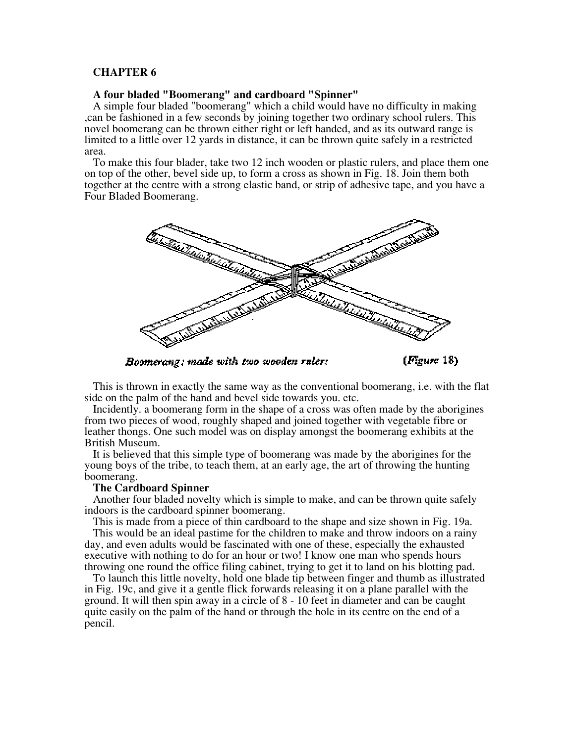#### **CHAPTER 6**

### **A four bladed "Boomerang" and cardboard "Spinner"**

A simple four bladed "boomerang" which a child would have no difficulty in making ,can be fashioned in a few seconds by joining together two ordinary school rulers. This novel boomerang can be thrown either right or left handed, and as its outward range is limited to a little over 12 yards in distance, it can be thrown quite safely in a restricted area.

To make this four blader, take two 12 inch wooden or plastic rulers, and place them one on top of the other, bevel side up, to form a cross as shown in Fig. 18. Join them both together at the centre with a strong elastic band, or strip of adhesive tape, and you have a Four Bladed Boomerang.



Boomerang: made with two wooden rulers

 $(Figure 18)$ 

This is thrown in exactly the same way as the conventional boomerang, i.e. with the flat side on the palm of the hand and bevel side towards you. etc.

Incidently. a boomerang form in the shape of a cross was often made by the aborigines from two pieces of wood, roughly shaped and joined together with vegetable fibre or leather thongs. One such model was on display amongst the boomerang exhibits at the British Museum.

It is believed that this simple type of boomerang was made by the aborigines for the young boys of the tribe, to teach them, at an early age, the art of throwing the hunting boomerang.

#### **The Cardboard Spinner**

Another four bladed novelty which is simple to make, and can be thrown quite safely indoors is the cardboard spinner boomerang.

This is made from a piece of thin cardboard to the shape and size shown in Fig. 19a. This would be an ideal pastime for the children to make and throw indoors on a rainy day, and even adults would be fascinated with one of these, especially the exhausted

executive with nothing to do for an hour or two! I know one man who spends hours throwing one round the office filing cabinet, trying to get it to land on his blotting pad. To launch this little novelty, hold one blade tip between finger and thumb as illustrated in Fig. 19c, and give it a gentle flick forwards releasing it on a plane parallel with the

ground. It will then spin away in a circle of 8 - 10 feet in diameter and can be caught quite easily on the palm of the hand or through the hole in its centre on the end of a pencil.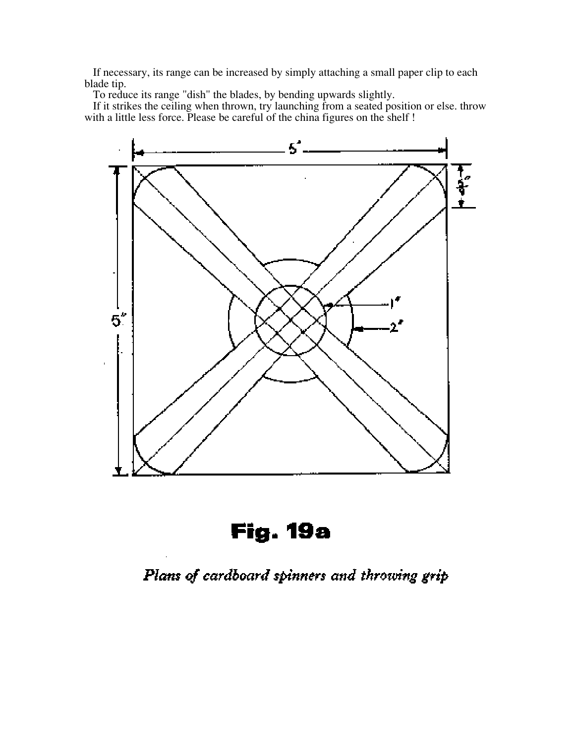If necessary, its range can be increased by simply attaching a small paper clip to each blade tip.

To reduce its range "dish" the blades, by bending upwards slightly.

If it strikes the ceiling when thrown, try launching from a seated position or else. throw with a little less force. Please be careful of the china figures on the shelf !



**Fig. 19a** 

Plans of cardboard spinners and throwing grip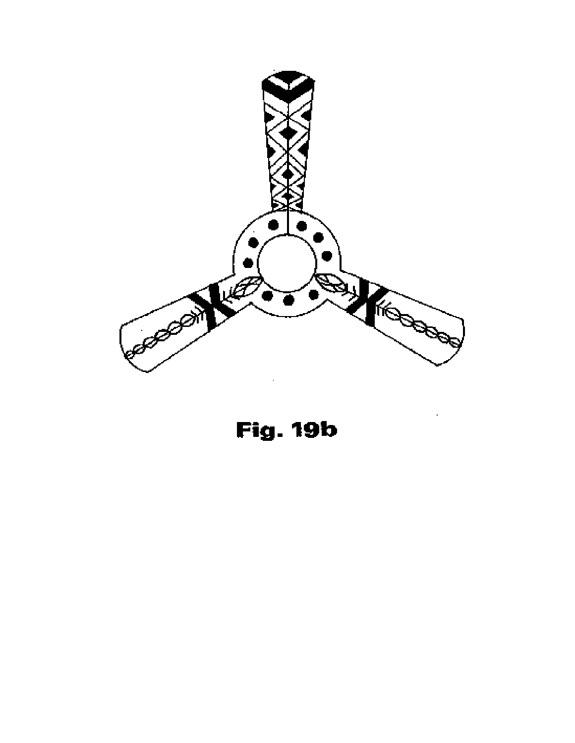

# **Fig. 19b**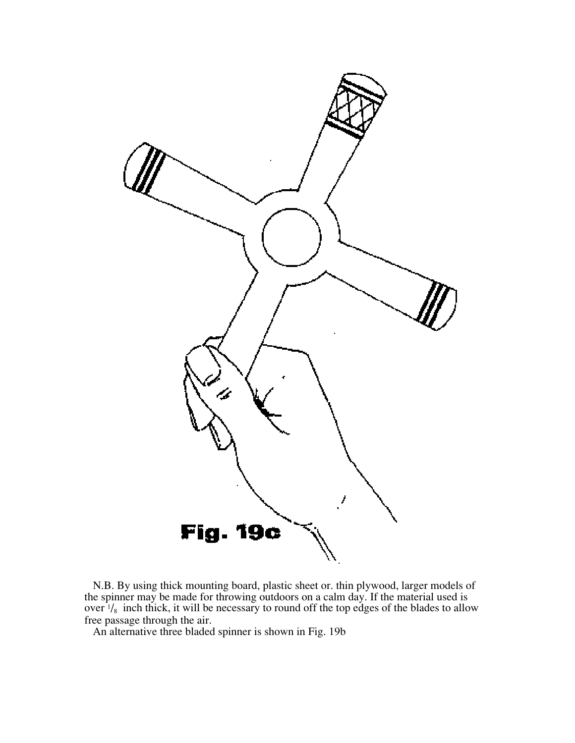

N.B. By using thick mounting board, plastic sheet or. thin plywood, larger models of the spinner may be made for throwing outdoors on a calm day. If the material used is over  $\frac{1}{8}$  inch thick, it will be necessary to round off the top edges of the blades to allow free passage through the air.

An alternative three bladed spinner is shown in Fig. 19b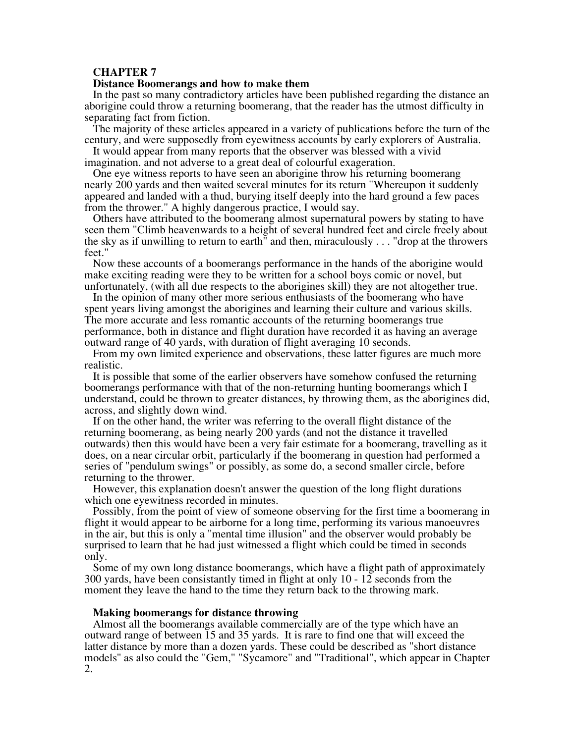#### **CHAPTER 7**

#### **Distance Boomerangs and how to make them**

In the past so many contradictory articles have been published regarding the distance an aborigine could throw a returning boomerang, that the reader has the utmost difficulty in separating fact from fiction.

The majority of these articles appeared in a variety of publications before the turn of the century, and were supposedly from eyewitness accounts by early explorers of Australia.

It would appear from many reports that the observer was blessed with a vivid imagination. and not adverse to a great deal of colourful exageration.

One eye witness reports to have seen an aborigine throw his returning boomerang nearly 200 yards and then waited several minutes for its return "Whereupon it suddenly appeared and landed with a thud, burying itself deeply into the hard ground a few paces from the thrower." A highly dangerous practice, I would say.

Others have attributed to the boomerang almost supernatural powers by stating to have seen them "Climb heavenwards to a height of several hundred feet and circle freely about the sky as if unwilling to return to earth" and then, miraculously . . . "drop at the throwers feet."

Now these accounts of a boomerangs performance in the hands of the aborigine would make exciting reading were they to be written for a school boys comic or novel, but unfortunately, (with all due respects to the aborigines skill) they are not altogether true.

In the opinion of many other more serious enthusiasts of the boomerang who have spent years living amongst the aborigines and learning their culture and various skills. The more accurate and less romantic accounts of the returning boomerangs true performance, both in distance and flight duration have recorded it as having an average outward range of 40 yards, with duration of flight averaging 10 seconds.

From my own limited experience and observations, these latter figures are much more realistic.

It is possible that some of the earlier observers have somehow confused the returning boomerangs performance with that of the non-returning hunting boomerangs which I understand, could be thrown to greater distances, by throwing them, as the aborigines did, across, and slightly down wind.

If on the other hand, the writer was referring to the overall flight distance of the returning boomerang, as being nearly 200 yards (and not the distance it travelled outwards) then this would have been a very fair estimate for a boomerang, travelling as it does, on a near circular orbit, particularly if the boomerang in question had performed a series of "pendulum swings" or possibly, as some do, a second smaller circle, before returning to the thrower.

However, this explanation doesn't answer the question of the long flight durations which one eyewitness recorded in minutes.

Possibly, from the point of view of someone observing for the first time a boomerang in flight it would appear to be airborne for a long time, performing its various manoeuvres in the air, but this is only a "mental time illusion" and the observer would probably be surprised to learn that he had just witnessed a flight which could be timed in seconds only.

Some of my own long distance boomerangs, which have a flight path of approximately 300 yards, have been consistantly timed in flight at only 10 - 12 seconds from the moment they leave the hand to the time they return back to the throwing mark.

#### **Making boomerangs for distance throwing**

Almost all the boomerangs available commercially are of the type which have an outward range of between 15 and 35 yards. It is rare to find one that will exceed the latter distance by more than a dozen yards. These could be described as "short distance models'' as also could the "Gem," "Sycamore" and "Traditional", which appear in Chapter 2.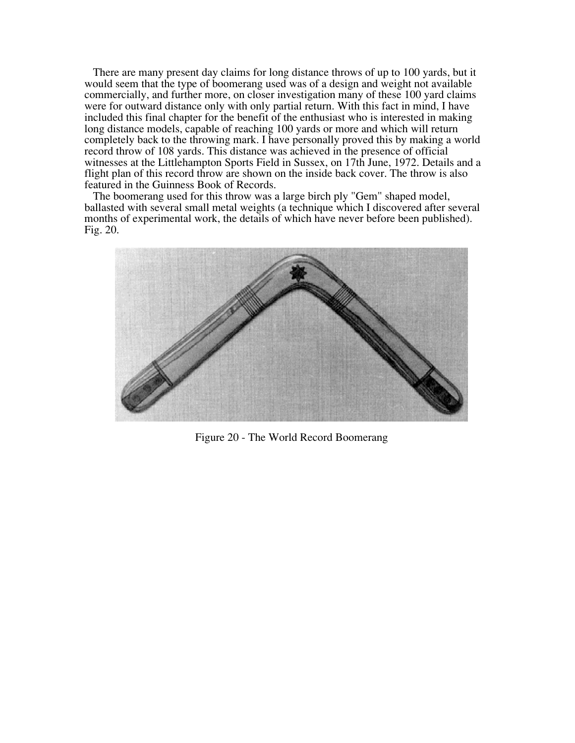There are many present day claims for long distance throws of up to 100 yards, but it would seem that the type of boomerang used was of a design and weight not available commercially, and further more, on closer investigation many of these 100 yard claims were for outward distance only with only partial return. With this fact in mind, I have included this final chapter for the benefit of the enthusiast who is interested in making long distance models, capable of reaching 100 yards or more and which will return completely back to the throwing mark. I have personally proved this by making a world record throw of 108 yards. This distance was achieved in the presence of official witnesses at the Littlehampton Sports Field in Sussex, on 17th June, 1972. Details and a flight plan of this record throw are shown on the inside back cover. The throw is also featured in the Guinness Book of Records.

The boomerang used for this throw was a large birch ply "Gem" shaped model, ballasted with several small metal weights (a technique which I discovered after several months of experimental work, the details of which have never before been published). Fig. 20.



Figure 20 - The World Record Boomerang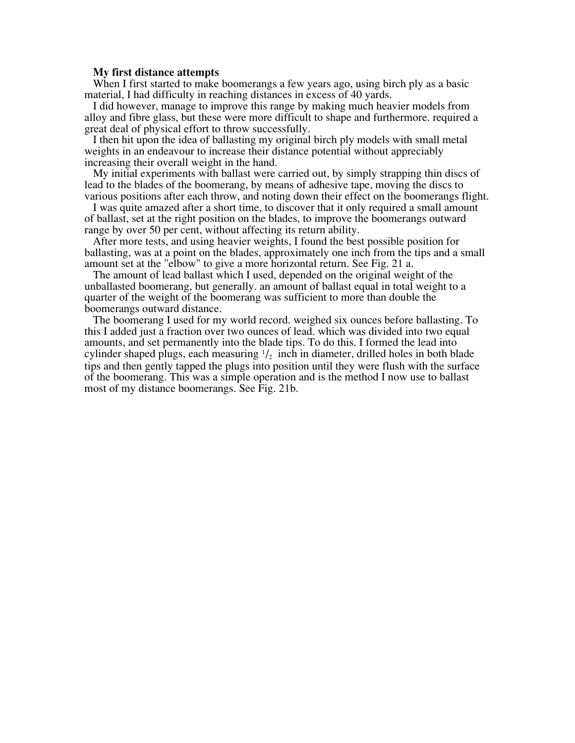#### **My first distance attempts**

When I first started to make boomerangs a few years ago, using birch ply as a basic material, I had difficulty in reaching distances in excess of 40 yards.

I did however, manage to improve this range by making much heavier models from alloy and fibre glass, but these were more difficult to shape and furthermore. required a great deal of physical effort to throw successfully.

I then hit upon the idea of ballasting my original birch ply models with small metal weights in an endeavour to increase their distance potential without appreciably increasing their overall weight in the hand.

My initial experiments with ballast were carried out, by simply strapping thin discs of lead to the blades of the boomerang, by means of adhesive tape, moving the discs to various positions after each throw, and noting down their effect on the boomerangs flight.

I was quite amazed after a short time, to discover that it only required a small amount of ballast, set at the right position on the blades, to improve the boomerangs outward range by over 50 per cent, without affecting its return ability.

After more tests, and using heavier weights, I found the best possible position for ballasting, was at a point on the blades, approximately one inch from the tips and a small amount set at the "elbow" to give a more horizontal return. See Fig. 21 a.

The amount of lead ballast which I used, depended on the original weight of the unballasted boomerang, but generally. an amount of ballast equal in total weight to a quarter of the weight of the boomerang was sufficient to more than double the boomerangs outward distance.

The boomerang I used for my world record. weighed six ounces before ballasting. To this I added just a fraction over two ounces of lead. which was divided into two equal amounts, and set permanently into the blade tips. To do this. I formed the lead into cylinder shaped plugs, each measuring  $1/2$  inch in diameter, drilled holes in both blade tips and then gently tapped the plugs into position until they were flush with the surface of the boomerang. This was a simple operation and is the method I now use to ballast most of my distance boomerangs. See Fig. 21b.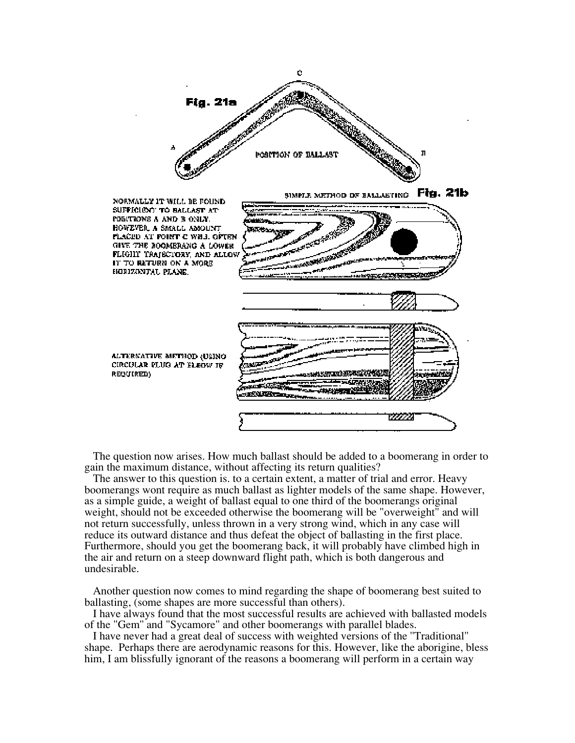

The question now arises. How much ballast should be added to a boomerang in order to gain the maximum distance, without affecting its return qualities?

The answer to this question is. to a certain extent, a matter of trial and error. Heavy boomerangs wont require as much ballast as lighter models of the same shape. However, as a simple guide, a weight of ballast equal to one third of the boomerangs original weight, should not be exceeded otherwise the boomerang will be "overweight" and will not return successfully, unless thrown in a very strong wind, which in any case will reduce its outward distance and thus defeat the object of ballasting in the first place. Furthermore, should you get the boomerang back, it will probably have climbed high in the air and return on a steep downward flight path, which is both dangerous and undesirable.

Another question now comes to mind regarding the shape of boomerang best suited to ballasting, (some shapes are more successful than others).

I have always found that the most successful results are achieved with ballasted models of the "Gem'' and "Sycamore" and other boomerangs with parallel blades.

I have never had a great deal of success with weighted versions of the ''Traditional" shape. Perhaps there are aerodynamic reasons for this. However, like the aborigine, bless him, I am blissfully ignorant of the reasons a boomerang will perform in a certain way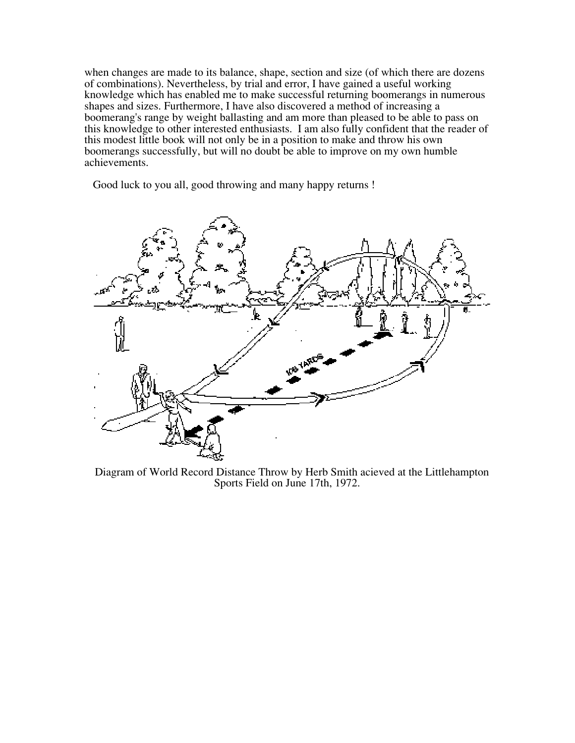when changes are made to its balance, shape, section and size (of which there are dozens of combinations). Nevertheless, by trial and error, I have gained a useful working knowledge which has enabled me to make successful returning boomerangs in numerous shapes and sizes. Furthermore, I have also discovered a method of increasing a boomerang's range by weight ballasting and am more than pleased to be able to pass on this knowledge to other interested enthusiasts. I am also fully confident that the reader of this modest little book will not only be in a position to make and throw his own boomerangs successfully, but will no doubt be able to improve on my own humble achievements.

Good luck to you all, good throwing and many happy returns !



Diagram of World Record Distance Throw by Herb Smith acieved at the Littlehampton Sports Field on June 17th, 1972.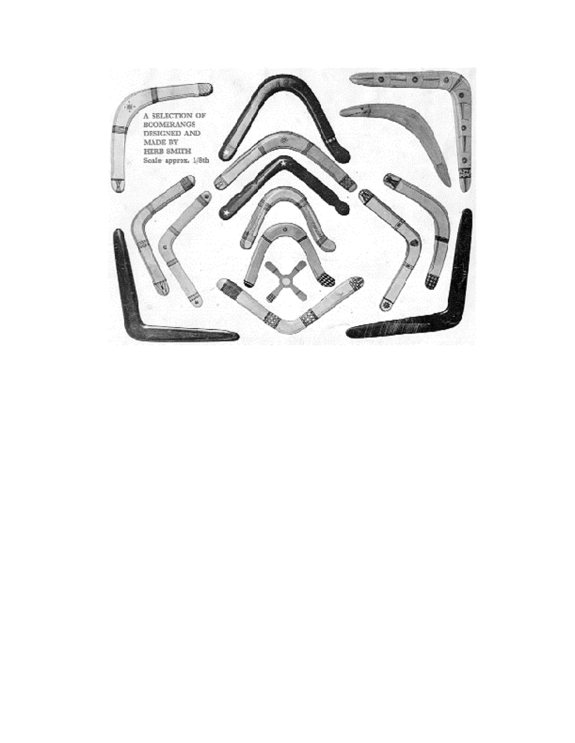